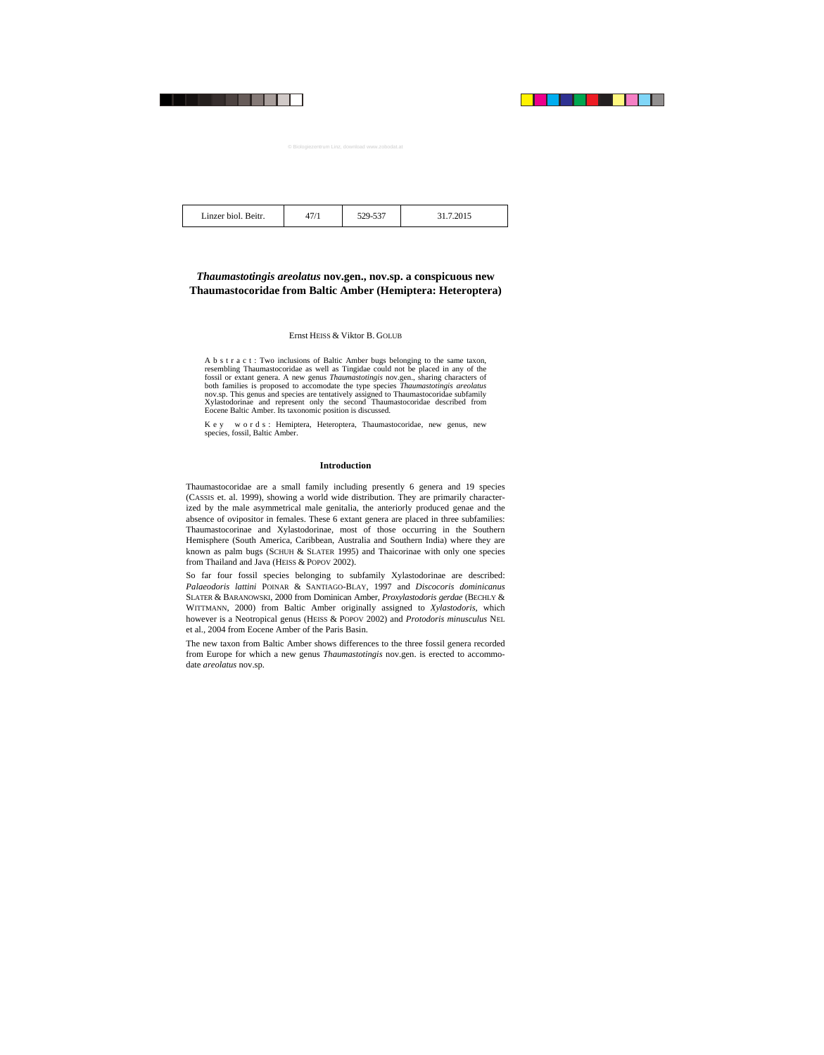|--|

# *Thaumastotingis areolatus* **nov.gen., nov.sp. a conspicuous new Thaumastocoridae from Baltic Amber (Hemiptera: Heteroptera)**

# Ernst HEISS & Viktor B. GOLUB

A b s t r a c t : Two inclusions of Baltic Amber bugs belonging to the same taxon, resembling Thaumastocoridae as well as Tingidae could not be placed in any of the fossil or extant genera. A new genus *Thaumastotingis* nov.gen., sharing characters of both families is proposed to accomodate the type species *Thaumastotingis areolatus* nov.sp. This genus and species are tentatively assigned to Thaumastocoridae subfamily Xylastodorinae and represent only the second Thaumastocoridae described from Eocene Baltic Amber. Its taxonomic position is discussed.

K e y w o r d s : Hemiptera, Heteroptera, Thaumastocoridae, new genus, new species, fossil, Baltic Amber.

## **Introduction**

Thaumastocoridae are a small family including presently 6 genera and 19 species (CASSIS et. al. 1999), showing a world wide distribution. They are primarily characterized by the male asymmetrical male genitalia, the anteriorly produced genae and the absence of ovipositor in females. These 6 extant genera are placed in three subfamilies: Thaumastocorinae and Xylastodorinae, most of those occurring in the Southern Hemisphere (South America, Caribbean, Australia and Southern India) where they are known as palm bugs (SCHUH & SLATER 1995) and Thaicorinae with only one species from Thailand and Java (HEISS & POPOV 2002).

So far four fossil species belonging to subfamily Xylastodorinae are described: *Palaeodoris lattini* POINAR & SANTIAGO-BLAY, 1997 and *Discocoris dominicanus* SLATER & BARANOWSKI, 2000 from Dominican Amber, *Proxylastodoris gerdae* (BECHLY & WITTMANN, 2000) from Baltic Amber originally assigned to *Xylastodoris*, which however is a Neotropical genus (HEISS & POPOV 2002) and *Protodoris minusculus* NEL et al., 2004 from Eocene Amber of the Paris Basin.

The new taxon from Baltic Amber shows differences to the three fossil genera recorded from Europe for which a new genus *Thaumastotingis* nov.gen. is erected to accommodate *areolatus* nov.sp.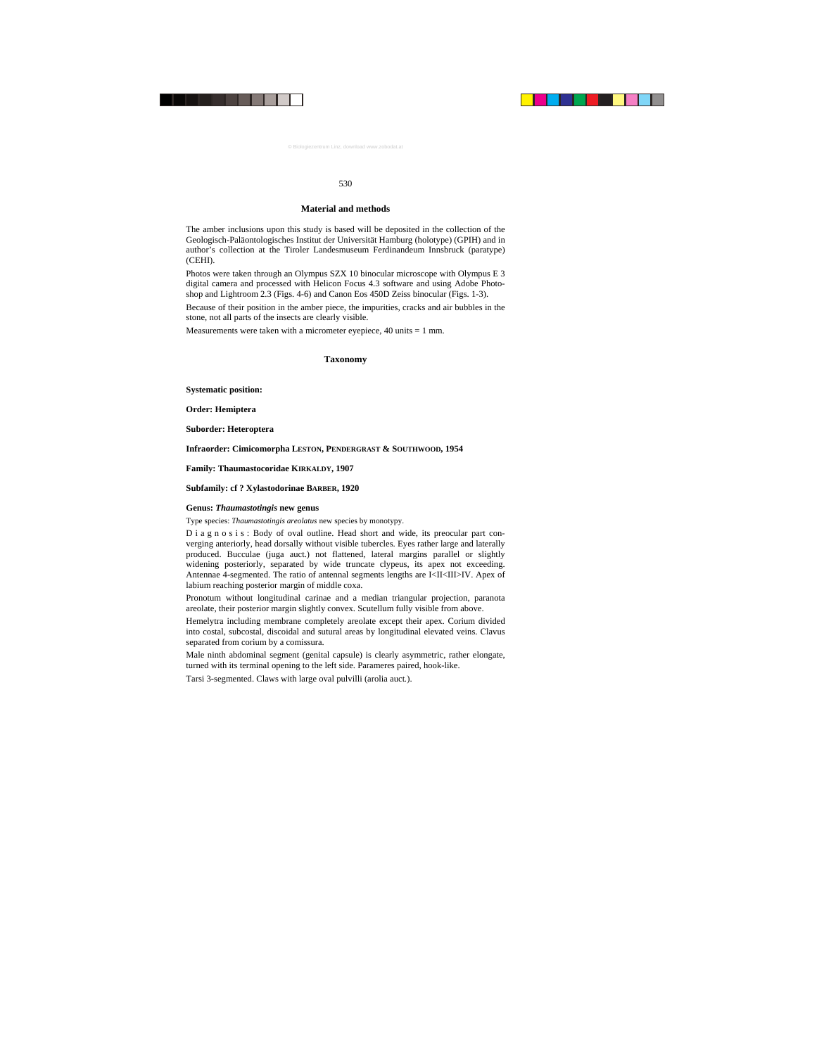## **Material and methods**

The amber inclusions upon this study is based will be deposited in the collection of the Geologisch-Paläontologisches Institut der Universität Hamburg (holotype) (GPIH) and in author's collection at the Tiroler Landesmuseum Ferdinandeum Innsbruck (paratype) (CEHI).

Photos were taken through an Olympus SZX 10 binocular microscope with Olympus E 3 digital camera and processed with Helicon Focus 4.3 software and using Adobe Photoshop and Lightroom 2.3 (Figs. 4-6) and Canon Eos 450D Zeiss binocular (Figs. 1-3).

Because of their position in the amber piece, the impurities, cracks and air bubbles in the stone, not all parts of the insects are clearly visible.

Measurements were taken with a micrometer eyepiece,  $40 \text{ units} = 1 \text{ mm}$ .

# **Taxonomy**

**Systematic position:** 

**Order: Hemiptera** 

**Suborder: Heteroptera** 

# **Infraorder: Cimicomorpha LESTON, PENDERGRAST & SOUTHWOOD, 1954**

**Family: Thaumastocoridae KIRKALDY, 1907** 

**Subfamily: cf ? Xylastodorinae BARBER, 1920** 

# **Genus:** *Thaumastotingis* **new genus**

Type species: *Thaumastotingis areolatus* new species by monotypy.

D i a g n o s i s : Body of oval outline. Head short and wide, its preocular part converging anteriorly, head dorsally without visible tubercles. Eyes rather large and laterally produced. Bucculae (juga auct.) not flattened, lateral margins parallel or slightly widening posteriorly, separated by wide truncate clypeus, its apex not exceeding. Antennae 4-segmented. The ratio of antennal segments lengths are I<II<III>IV. Apex of labium reaching posterior margin of middle coxa.

Pronotum without longitudinal carinae and a median triangular projection, paranota areolate, their posterior margin slightly convex. Scutellum fully visible from above.

Hemelytra including membrane completely areolate except their apex. Corium divided into costal, subcostal, discoidal and sutural areas by longitudinal elevated veins. Сlavus separated from corium by a comissura.

Male ninth abdominal segment (genital capsule) is clearly asymmetric, rather elongate, turned with its terminal opening to the left side. Parameres paired, hook-like.

Tarsi 3-segmented. Claws with large oval pulvilli (arolia auct*.*).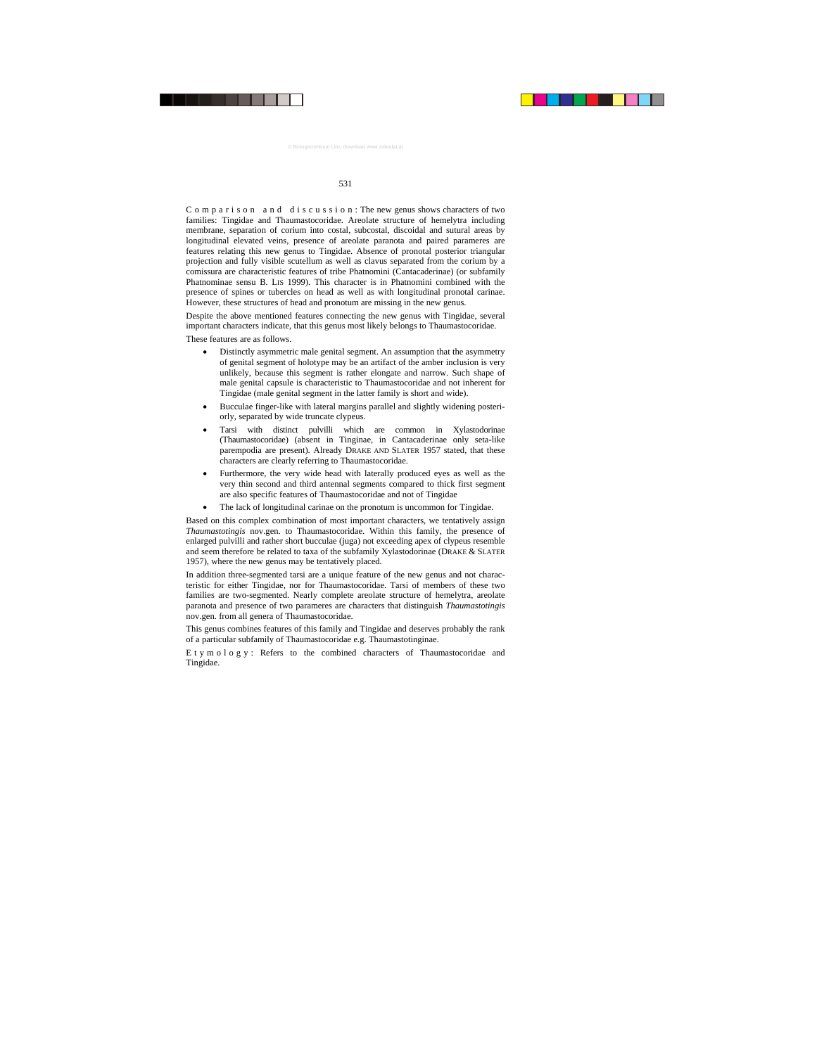C o m p a r i s o n a n d d i s c u s s i o n : The new genus shows characters of two families: Tingidae and Thaumastocoridae. Areolate structure of hemelytra including membrane, separation of corium into costal, subcostal, discoidal and sutural areas by longitudinal elevated veins, presence of areolate paranota and paired parameres are features relating this new genus to Tingidae. Absence of pronotal posterior triangular projection and fully visible scutellum as well as clavus separated from the corium by a comissura are characteristic features of tribe Phatnomini (Cantacaderinae) (or subfamily Phatnominae sensu B. LIS 1999). This character is in Phatnomini combined with the presence of spines or tubercles on head as well as with longitudinal pronotal carinae. However, these structures of head and pronotum are missing in the new genus.

Despite the above mentioned features connecting the new genus with Tingidae, several important characters indicate, that this genus most likely belongs to Thaumastocoridae.

These features are as follows.

- Distinctly asymmetric male genital segment. An assumption that the asymmetry of genital segment of holotype may be an artifact of the amber inclusion is very unlikely, because this segment is rather elongate and narrow. Such shape of male genital capsule is characteristic to Thaumastocoridae and not inherent for Tingidae (male genital segment in the latter family is short and wide).
- Bucculae finger-like with lateral margins parallel and slightly widening posteriorly, separated by wide truncate clypeus.
- Tarsi with distinct pulvilli which are common in Xylastodorinae (Thaumastocoridae) (absent in Tinginae, in Cantacaderinae only seta-like parempodia are present). Already DRAKE AND SLATER 1957 stated, that these characters are clearly referring to Thaumastocoridae.
- Furthermore, the very wide head with laterally produced eyes as well as the very thin second and third antennal segments compared to thick first segment are also specific features of Thaumastocoridae and not of Tingidae
- The lack of longitudinal carinae on the pronotum is uncommon for Tingidae.

Based on this complex combination of most important characters, we tentatively assign *Thaumastotingis* nov.gen. to Thaumastocoridae. Within this family, the presence of enlarged pulvilli and rather short bucculae (juga) not exceeding apex of clypeus resemble and seem therefore be related to taxa of the subfamily Xylastodorinae (DRAKE & SLATER 1957), where the new genus may be tentatively placed.

In addition three-segmented tarsi are a unique feature of the new genus and not characteristic for either Tingidae, nor for Thaumastocoridae. Tarsi of members of these two families are two-segmented. Nearly complete areolate structure of hemelytra, areolate paranota and presence of two parameres are characters that distinguish *Thaumastotingis* nov.gen. from all genera of Thaumastocoridae.

This genus combines features of this family and Tingidae and deserves probably the rank of a particular subfamily of Thaumastocoridae e.g. Thaumastotinginae.

E t y m o l o g y : Refers to the combined characters of Thaumastocoridae and Tingidae.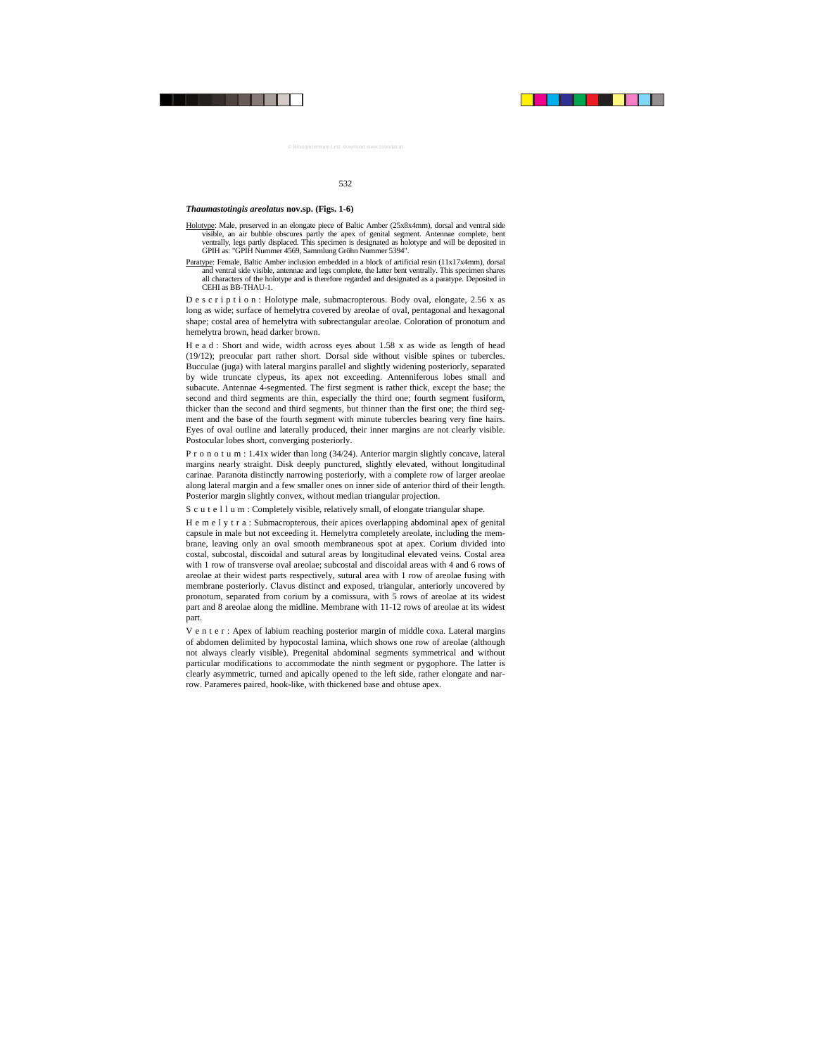#### *Thaumastotingis areolatus* **nov.sp. (Figs. 1-6)**

- Holotype: Male, preserved in an elongate piece of Baltic Amber (25x8x4mm), dorsal and ventral side visible, an air bubble obscures partly the apex of genital segment. Antennae complete, bent ventrally, legs partly displaced. This specimen is designated as holotype and will be deposited in GPIH as: "GPIH Nummer 4569, Sammlung Gröhn Nummer 5394".
- Paratype: Female, Baltic Amber inclusion embedded in a block of artificial resin (11x17x4mm), dorsal and ventral side visible, antennae and legs complete, the latter bent ventrally. This specimen shares all characters of the holotype and is therefore regarded and designated as a paratype. Deposited in CEHI as BB-THAU-1.

D e s c r i p t i o n : Holotype male, submacropterous. Body oval, elongate, 2.56 x as long as wide; surface of hemelytra covered by areolae of oval, pentagonal and hexagonal shape; costal area of hemelytra with subrectangular areolae. Coloration of pronotum and hemelytra brown, head darker brown.

H e a d : Short and wide, width across eyes about  $1.58$  x as wide as length of head (19/12); preocular part rather short. Dorsal side without visible spines or tubercles. Bucculae (juga) with lateral margins parallel and slightly widening posteriorly, separated by wide truncate clypeus, its apex not exceeding. Antenniferous lobes small and subacute. Antennae 4-segmented. The first segment is rather thick, except the base; the second and third segments are thin, especially the third one; fourth segment fusiform, thicker than the second and third segments, but thinner than the first one; the third segment and the base of the fourth segment with minute tubercles bearing very fine hairs. Eyes of oval outline and laterally produced, their inner margins are not clearly visible. Postocular lobes short, converging posteriorly.

P r o n o t u m : 1.41x wider than long (34/24). Anterior margin slightly concave, lateral margins nearly straight. Disk deeply punctured, slightly elevated, without longitudinal carinae. Paranota distinctly narrowing posteriorly, with a complete row of larger areolae along lateral margin and a few smaller ones on inner side of anterior third of their length. Posterior margin slightly convex, without median triangular projection.

S c u t e l l u m : Completely visible, relatively small, of elongate triangular shape.

H e m e l y t r a : Submacropterous, their apices overlapping abdominal apex of genital capsule in male but not exceeding it. Hemelytra completely areolate, including the membrane, leaving only an oval smooth membraneous spot at apex. Corium divided into costal, subcostal, discoidal and sutural areas by longitudinal elevated veins. Costal area with 1 row of transverse oval areolae; subcostal and discoidal areas with 4 and 6 rows of areolae at their widest parts respectively, sutural area with 1 row of areolae fusing with membrane posteriorly. Сlavus distinct and exposed, triangular, anteriorly uncovered by pronotum, separated from corium by a comissura, with 5 rows of areolae at its widest part and 8 areolae along the midline. Membrane with 11-12 rows of areolae at its widest part.

V e n t e r : Apex of labium reaching posterior margin of middle coxa. Lateral margins of abdomen delimited by hypocostal lamina, which shows one row of areolae (although not always clearly visible). Pregenital abdominal segments symmetrical and without particular modifications to accommodate the ninth segment or pygophore. The latter is clearly asymmetric, turned and apically opened to the left side, rather elongate and narrow. Parameres paired, hook-like, with thickened base and obtuse apex.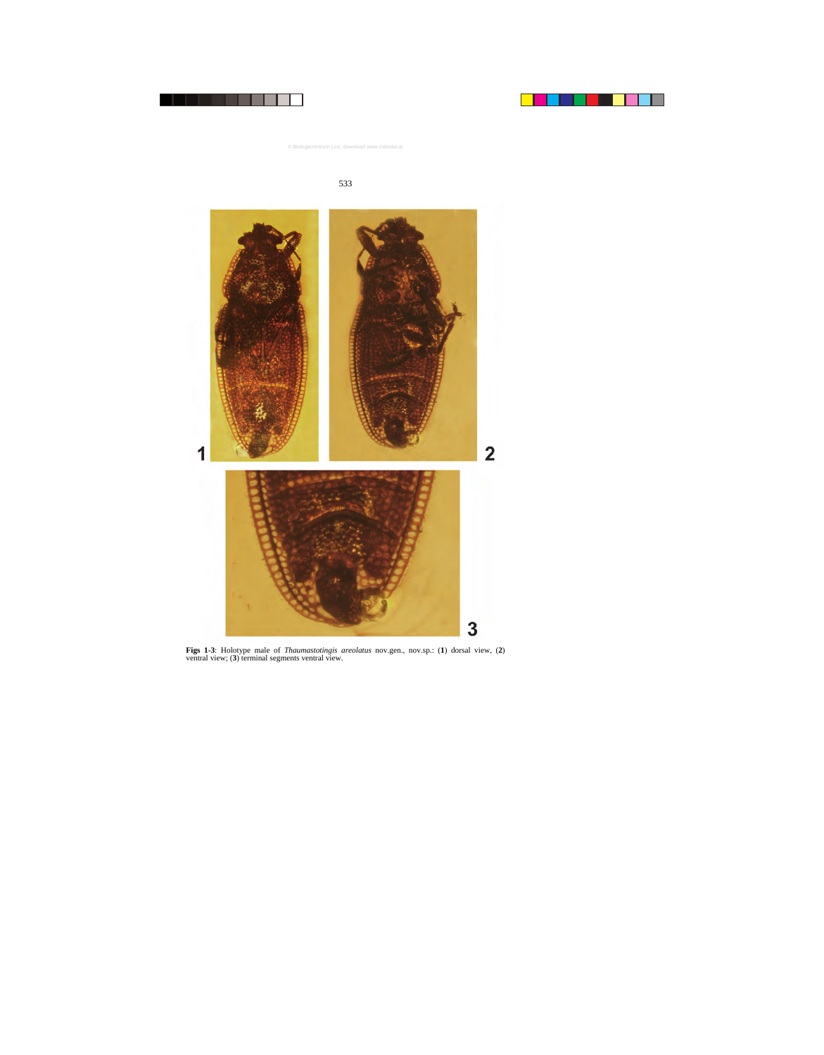

**Figs 1-3**: Holotype male of *Thaumastotingis areolatus* nov.gen., nov.sp.: (**1**) dorsal view, (**2**) ventral view; (**3**) terminal segments ventral view.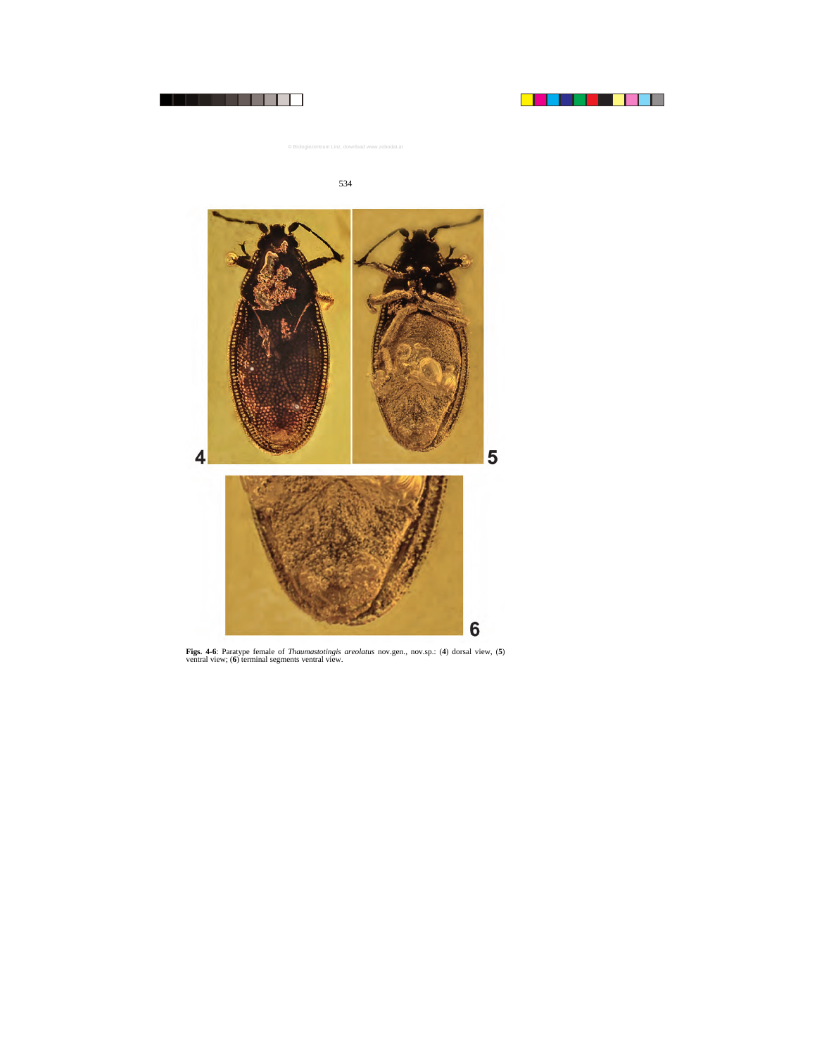

**Figs. 4-6**: Paratype female of *Thaumastotingis areolatus* nov.gen., nov.sp.: (**4**) dorsal view, (**5**) ventral view; (**6**) terminal segments ventral view.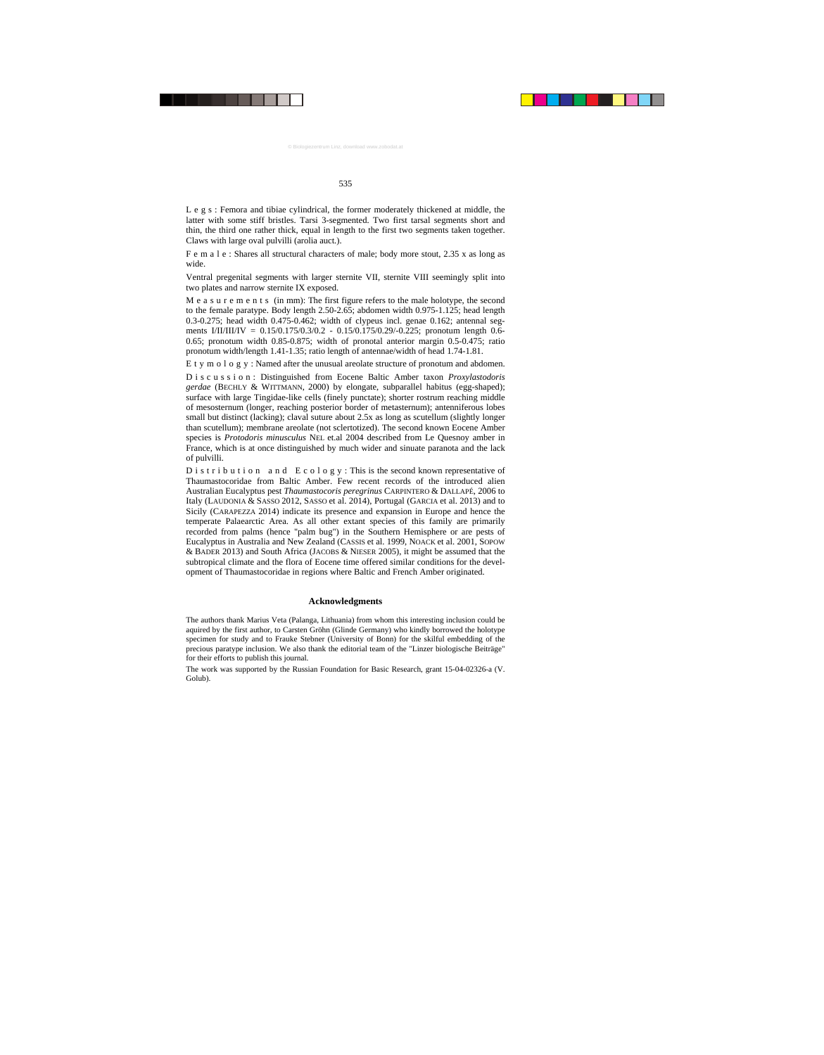L e g s : Femora and tibiae cylindrical, the former moderately thickened at middle, the latter with some stiff bristles. Tarsi 3-segmented. Two first tarsal segments short and thin, the third one rather thick, equal in length to the first two segments taken together. Claws with large oval pulvilli (arolia auct*.*).

F e m a l e : Shares all structural characters of male; body more stout, 2.35 x as long as wide.

Ventral pregenital segments with larger sternite VII, sternite VIII seemingly split into two plates and narrow sternite IX exposed.

M e a s u r e m e n t s (in mm): The first figure refers to the male holotype, the second to the female paratype. Body length 2.50-2.65; abdomen width 0.975-1.125; head length 0.3-0.275; head width 0.475-0.462; width of clypeus incl. genae 0.162; antennal segments I/II/III/IV = 0.15/0.175/0.3/0.2 - 0.15/0.175/0.29/-0.225; pronotum length 0.6-0.65; pronotum width 0.85-0.875; width of pronotal anterior margin 0.5-0.475; ratio pronotum width/length 1.41-1.35; ratio length of antennae/width of head 1.74-1.81.

E t y m o l o g y : Named after the unusual areolate structure of pronotum and abdomen.

D i s c u s s i o n : Distinguished from Eocene Baltic Amber taxon *Proxylastodoris gerdae* (BECHLY & WITTMANN, 2000) by elongate, subparallel habitus (egg-shaped); surface with large Tingidae-like cells (finely punctate); shorter rostrum reaching middle of mesosternum (longer, reaching posterior border of metasternum); antenniferous lobes small but distinct (lacking); claval suture about 2.5x as long as scutellum (slightly longer than scutellum); membrane areolate (not sclertotized). The second known Eocene Amber species is *Protodoris minusculus* NEL et.al 2004 described from Le Quesnoy amber in France, which is at once distinguished by much wider and sinuate paranota and the lack of pulvilli.

D i s t r i b u t i o n a n d E c o l o g y : This is the second known representative of Thaumastocoridae from Baltic Amber. Few recent records of the introduced alien Australian Eucalyptus pest *Thaumastocoris peregrinus* CARPINTERO & DALLAPÉ, 2006 to Italy (LAUDONIA & SASSO 2012, SASSO et al. 2014), Portugal (GARCIA et al. 2013) and to Sicily (CARAPEZZA 2014) indicate its presence and expansion in Europe and hence the temperate Palaearctic Area. As all other extant species of this family are primarily recorded from palms (hence "palm bug") in the Southern Hemisphere or are pests of Eucalyptus in Australia and New Zealand (CASSIS et al. 1999, NOACK et al. 2001, SOPOW & BADER 2013) and South Africa (JACOBS & NIESER 2005), it might be assumed that the subtropical climate and the flora of Eocene time offered similar conditions for the development of Thaumastocoridae in regions where Baltic and French Amber originated.

# **Acknowledgments**

The authors thank Marius Veta (Palanga, Lithuania) from whom this interesting inclusion could be aquired by the first author, to Carsten Gröhn (Glinde Germany) who kindly borrowed the holotype specimen for study and to Frauke Stebner (University of Bonn) for the skilful embedding of the precious paratype inclusion. We also thank the editorial team of the "Linzer biologische Beiträge" for their efforts to publish this journal.

The work was supported by the Russian Foundation for Basic Research, grant 15-04-02326-a (V. Golub).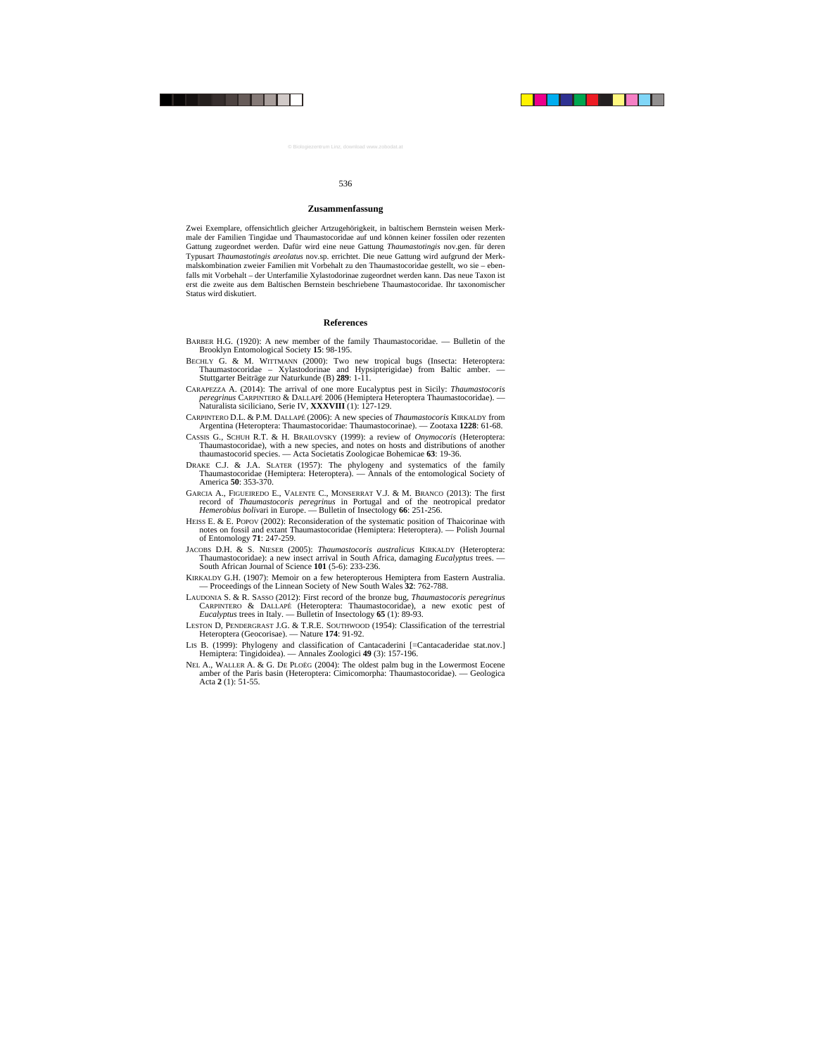#### **Zusammenfassung**

Zwei Exemplare, offensichtlich gleicher Artzugehörigkeit, in baltischem Bernstein weisen Merkmale der Familien Tingidae und Thaumastocoridae auf und können keiner fossilen oder rezenten Gattung zugeordnet werden. Dafür wird eine neue Gattung *Thaumastotingis* nov.gen. für deren Typusart *Thaumastotingis areolatus* nov.sp. errichtet. Die neue Gattung wird aufgrund der Merkmalskombination zweier Familien mit Vorbehalt zu den Thaumastocoridae gestellt, wo sie – ebenfalls mit Vorbehalt – der Unterfamilie Xylastodorinae zugeordnet werden kann. Das neue Taxon ist erst die zweite aus dem Baltischen Bernstein beschriebene Thaumastocoridae. Ihr taxonomischer Status wird diskutiert.

# **References**

- BARBER H.G. (1920): A new member of the family Thaumastocoridae. Bulletin of the Brooklyn Entomological Society **15**: 98-195.
- BECHLY G. & M. WITTMANN (2000): Two new tropical bugs (Insecta: Heteroptera: Thaumastocoridae – Xylastodorinae and Hypsipterigidae) from Baltic amber. — Stuttgarter Beiträge zur Naturkunde (B) **289**: 1-11.
- CARAPEZZA A. (2014): The arrival of one more Eucalyptus pest in Sicily: *Thaumastocoris peregrinus* CARPINTERO & DALLAPÉ 2006 (Hemiptera Heteroptera Thaumastocoridae). — Naturalista siciliciano, Serie IV, XXXVIII<sup>(1): 127-129.</sup>
- CARPINTERO D.L. & P.M. DALLAPÉ (2006): A new species of *Thaumastocoris* KIRKALDY from Argentina (Heteroptera: Thaumastocoridae: Thaumastocorinae). — Zootaxa **1228**: 61-68.
- CASSIS G., SCHUH R.T. & H. BRAILOVSKY (1999): a review of *Onymocoris* (Heteroptera: Thaumastocoridae), with a new species, and notes on hosts and distributions of another thaumastocorid species. — Acta Societatis Zoologicae Bohemicae **63**: 19-36.
- DRAKE C.J. & J.A. SLATER (1957): The phylogeny and systematics of the family Thaumastocoridae (Hemiptera: Heteroptera). — Annals of the entomological Society of America **50**: 353-370.
- GARCIA A., FIGUEIREDO E., VALENTE C., MONSERRAT V.J. & M. BRANCO (2013): The first record of *Thaumastocoris peregrinus* in Portugal and of the neotropical predator *Hemerobius boliv*ari in Europe. — Bulletin of Insectology **66**: 251-256.
- HEISS E. & E. POPOV (2002): Reconsideration of the systematic position of Thaicorinae with notes on fossil and extant Thaumastocoridae (Hemiptera: Heteroptera). — Polish Journal of Entomology **71**: 247-259.
- JACOBS D.H. & S. NIESER (2005): *Thaumastocoris australicus* KIRKALDY (Heteroptera: Thaumastocoridae): a new insect arrival in South Africa, damaging *Eucalyptus* trees. — South African Journal of Science **101** (5-6): 233-236.
- KIRKALDY G.H. (1907): Memoir on a few heteropterous Hemiptera from Eastern Australia. — Proceedings of the Linnean Society of New South Wales **32**: 762-788.
- LAUDONIA S. & R. SASSO (2012): First record of the bronze bug, *Thaumastocoris peregrinus* CARPINTERO & DALLAPÉ (Heteroptera: Thaumastocoridae), a new exotic pest of *Eucalyptus* trees in Italy. — Bulletin of Insectology **65** (1): 89-93.
- LESTON D, PENDERGRAST J.G. & T.R.E. SOUTHWOOD (1954): Classification of the terrestrial Heteroptera (Geocorisae). — Nature **174**: 91-92.
- LIS B. (1999): Phylogeny and classification of Cantacaderini [=Cantacaderidae stat.nov.] Hemiptera: Tingidoidea). — Annales Zoologici **49** (3): 157-196.
- NEL A., WALLER A. & G. DE PLOËG (2004): The oldest palm bug in the Lowermost Eocene amber of the Paris basin (Heteroptera: Cimicomorpha: Thaumastocoridae). — Geologica Acta **2** (1): 51-55.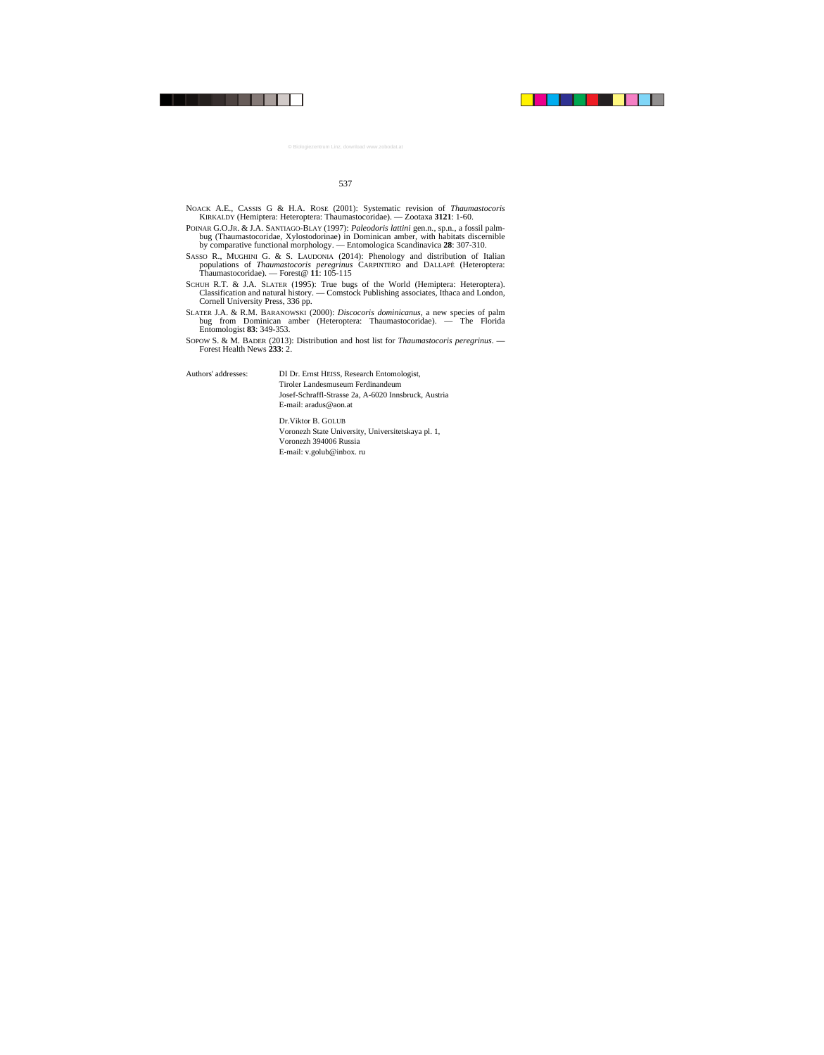- NOACK A.E., CASSIS G & H.A. ROSE (2001): Systematic revision of *Thaumastocoris* KIRKALDY (Hemiptera: Heteroptera: Thaumastocoridae). — Zootaxa **3121**: 1-60.
- POINAR G.O.JR. & J.A. SANTIAGO-BLAY (1997): *Paleodoris lattini* gen.n., sp.n., a fossil palmbug (Thaumastocoridae, Xylostodorinae) in Dominican amber, with habitats discernible by comparative functional morphology. — Entomologica Scandinavica **28**: 307-310.
- SASSO R., MUGHINI G. & S. LAUDONIA (2014): Phenology and distribution of Italian populations of *Thaumastocoris peregrinus* CARPINTERO and DALLAPÉ (Heteroptera: Thaumastocoridae). — Forest@ **11**: 105-115
- SCHUH R.T. & J.A. SLATER (1995): True bugs of the World (Hemiptera: Heteroptera). Classification and natural history. — Comstock Publishing associates, Ithaca and London, Cornell University Press, 336 pp.
- SLATER J.A. & R.M. BARANOWSKI (2000): *Discocoris dominicanus*, a new species of palm bug from Dominican amber (Heteroptera: Thaumastocoridae). — The Florida Entomologist **83**: 349-353.
- SOPOW S. & M. BADER (2013): Distribution and host list for *Thaumastocoris peregrinus*. Forest Health News **233**: 2.

Authors' addresses: DI Dr. Ernst HEISS, Research Entomologist, Tiroler Landesmuseum Ferdinandeum Josef-Schraffl-Strasse 2a, A-6020 Innsbruck, Austria E-mail: aradus@aon.at

> Dr.Viktor B. GOLUB Voronezh State University, Universitetskaya pl. 1, Voronezh 394006 Russia E-mail: v.golub@inbox. ru